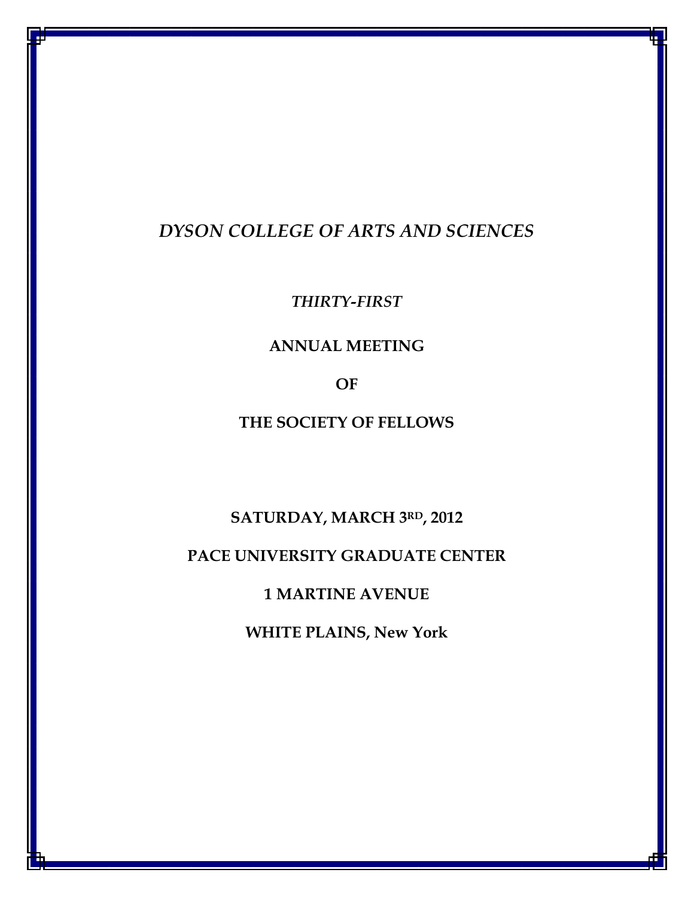# DYSON COLLEGE OF ARTS AND SCIENCES

THIRTY-FIRST

## ANNUAL MEETING

OF

THE SOCIETY OF FELLOWS

SATURDAY, MARCH 3RD, 2012

PACE UNIVERSITY GRADUATE CENTER

1 MARTINE AVENUE

WHITE PLAINS, New York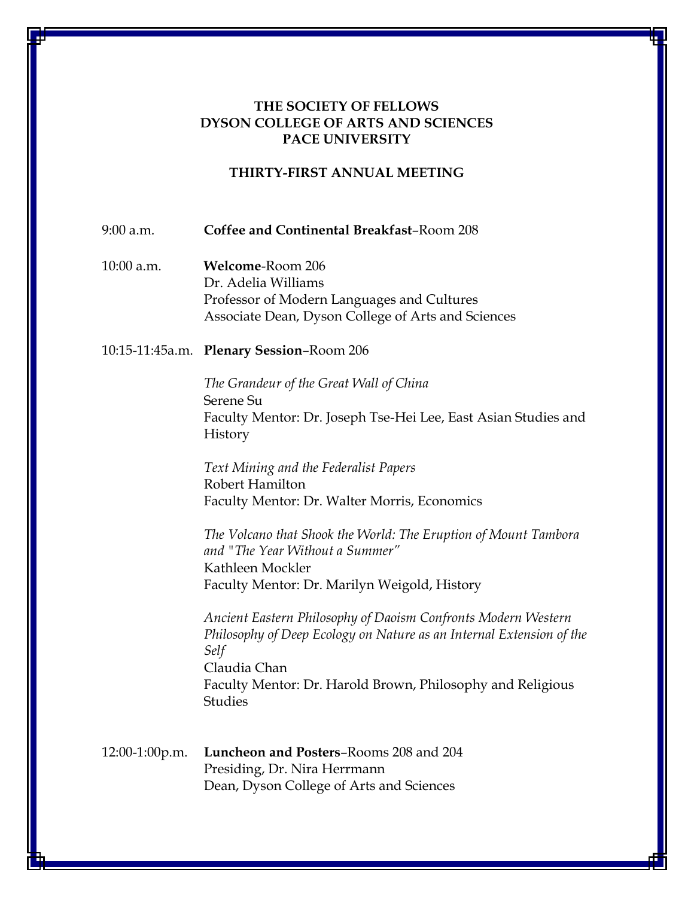## THE SOCIETY OF FELLOWS DYSON COLLEGE OF ARTS AND SCIENCES PACE UNIVERSITY

#### THIRTY-FIRST ANNUAL MEETING

9:00 a.m. Coffee and Continental Breakfast–Room 208

10:00 a.m. Welcome-Room 206 Dr. Adelia Williams Professor of Modern Languages and Cultures Associate Dean, Dyson College of Arts and Sciences

#### 10:15-11:45a.m. Plenary Session–Room 206

The Grandeur of the Great Wall of China Serene Su Faculty Mentor: Dr. Joseph Tse-Hei Lee, East Asian Studies and History

Text Mining and the Federalist Papers Robert Hamilton Faculty Mentor: Dr. Walter Morris, Economics

The Volcano that Shook the World: The Eruption of Mount Tambora and "The Year Without a Summer" Kathleen Mockler Faculty Mentor: Dr. Marilyn Weigold, History

Ancient Eastern Philosophy of Daoism Confronts Modern Western Philosophy of Deep Ecology on Nature as an Internal Extension of the Self Claudia Chan Faculty Mentor: Dr. Harold Brown, Philosophy and Religious Studies

12:00-1:00p.m. Luncheon and Posters–Rooms 208 and 204 Presiding, Dr. Nira Herrmann Dean, Dyson College of Arts and Sciences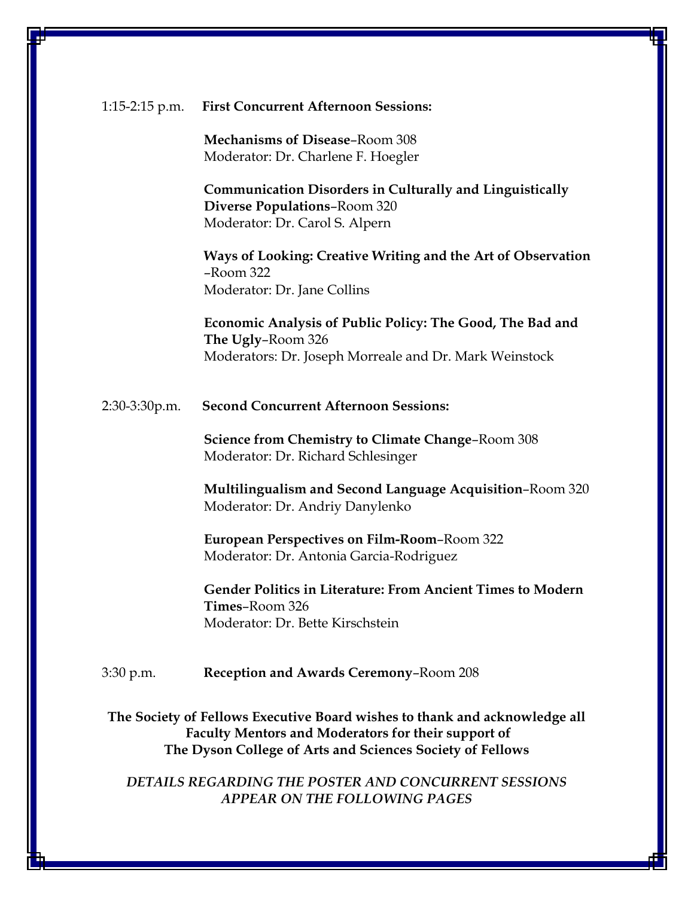#### 1:15-2:15 p.m. First Concurrent Afternoon Sessions:

 Mechanisms of Disease–Room 308 Moderator: Dr. Charlene F. Hoegler

 Communication Disorders in Culturally and Linguistically Diverse Populations–Room 320 Moderator: Dr. Carol S. Alpern

Ways of Looking: Creative Writing and the Art of Observation –Room 322 Moderator: Dr. Jane Collins

Economic Analysis of Public Policy: The Good, The Bad and The Ugly–Room 326 Moderators: Dr. Joseph Morreale and Dr. Mark Weinstock

2:30-3:30p.m. Second Concurrent Afternoon Sessions:

Science from Chemistry to Climate Change–Room 308 Moderator: Dr. Richard Schlesinger

Multilingualism and Second Language Acquisition–Room 320 Moderator: Dr. Andriy Danylenko

European Perspectives on Film-Room–Room 322 Moderator: Dr. Antonia Garcia-Rodriguez

Gender Politics in Literature: From Ancient Times to Modern Times–Room 326 Moderator: Dr. Bette Kirschstein

3:30 p.m. Reception and Awards Ceremony–Room 208

The Society of Fellows Executive Board wishes to thank and acknowledge all Faculty Mentors and Moderators for their support of The Dyson College of Arts and Sciences Society of Fellows

DETAILS REGARDING THE POSTER AND CONCURRENT SESSIONS APPEAR ON THE FOLLOWING PAGES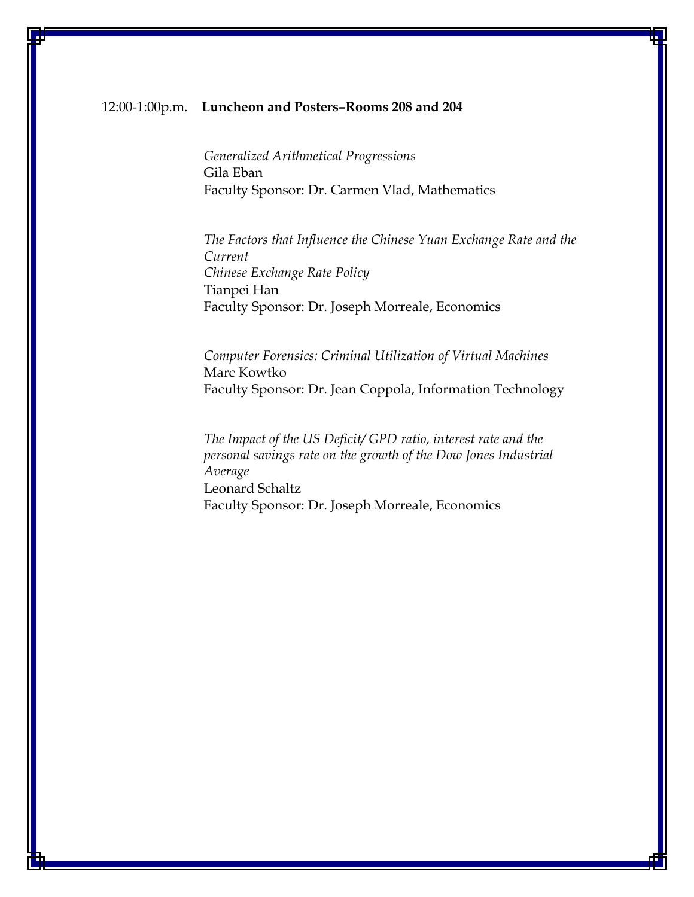#### 12:00-1:00p.m. Luncheon and Posters–Rooms 208 and 204

Generalized Arithmetical Progressions Gila Eban Faculty Sponsor: Dr. Carmen Vlad, Mathematics

The Factors that Influence the Chinese Yuan Exchange Rate and the Current Chinese Exchange Rate Policy Tianpei Han Faculty Sponsor: Dr. Joseph Morreale, Economics

Computer Forensics: Criminal Utilization of Virtual Machines Marc Kowtko Faculty Sponsor: Dr. Jean Coppola, Information Technology

The Impact of the US Deficit/ GPD ratio, interest rate and the personal savings rate on the growth of the Dow Jones Industrial Average Leonard Schaltz Faculty Sponsor: Dr. Joseph Morreale, Economics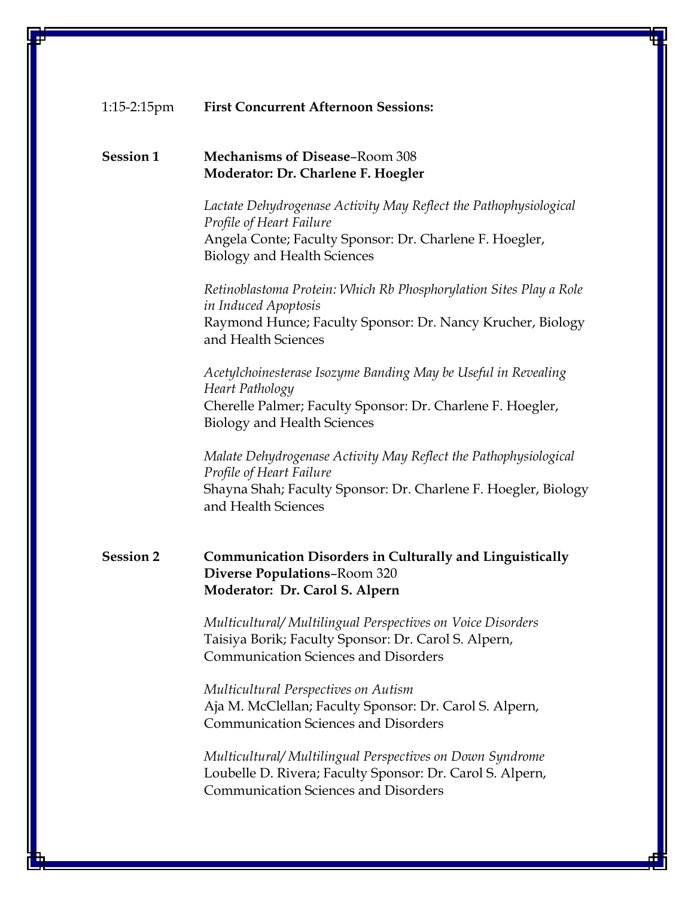#### 1:15-2:15pm First Concurrent Afternoon Sessions:

#### Session 1 Mechanisms of Disease–Room 308 Moderator: Dr. Charlene F. Hoegler

Lactate Dehydrogenase Activity May Reflect the Pathophysiological Profile of Heart Failure Angela Conte; Faculty Sponsor: Dr. Charlene F. Hoegler, Biology and Health Sciences

Retinoblastoma Protein: Which Rb Phosphorylation Sites Play a Role in Induced Apoptosis Raymond Hunce; Faculty Sponsor: Dr. Nancy Krucher, Biology and Health Sciences

Acetylchoinesterase Isozyme Banding May be Useful in Revealing Heart Pathology Cherelle Palmer; Faculty Sponsor: Dr. Charlene F. Hoegler, Biology and Health Sciences

Malate Dehydrogenase Activity May Reflect the Pathophysiological Profile of Heart Failure Shayna Shah; Faculty Sponsor: Dr. Charlene F. Hoegler, Biology and Health Sciences

## Session 2 Communication Disorders in Culturally and Linguistically Diverse Populations–Room 320 Moderator: Dr. Carol S. Alpern

Multicultural/ Multilingual Perspectives on Voice Disorders Taisiya Borik; Faculty Sponsor: Dr. Carol S. Alpern, Communication Sciences and Disorders

Multicultural Perspectives on Autism Aja M. McClellan; Faculty Sponsor: Dr. Carol S. Alpern, Communication Sciences and Disorders

Multicultural/ Multilingual Perspectives on Down Syndrome Loubelle D. Rivera; Faculty Sponsor: Dr. Carol S. Alpern, Communication Sciences and Disorders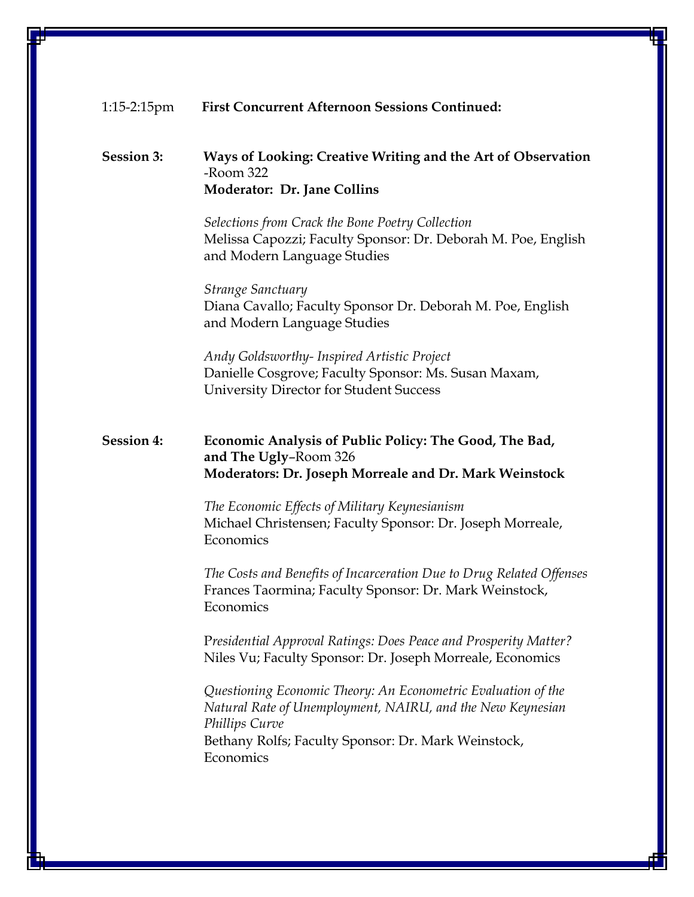#### 1:15-2:15pm First Concurrent Afternoon Sessions Continued:

#### Session 3: Ways of Looking: Creative Writing and the Art of Observation -Room 322 Moderator: Dr. Jane Collins

Selections from Crack the Bone Poetry Collection Melissa Capozzi; Faculty Sponsor: Dr. Deborah M. Poe, English and Modern Language Studies

Strange Sanctuary Diana Cavallo; Faculty Sponsor Dr. Deborah M. Poe, English and Modern Language Studies

Andy Goldsworthy- Inspired Artistic Project Danielle Cosgrove; Faculty Sponsor: Ms. Susan Maxam, University Director for Student Success

#### Session 4: Economic Analysis of Public Policy: The Good, The Bad, and The Ugly–Room 326 Moderators: Dr. Joseph Morreale and Dr. Mark Weinstock

The Economic Effects of Military Keynesianism Michael Christensen; Faculty Sponsor: Dr. Joseph Morreale, Economics

The Costs and Benefits of Incarceration Due to Drug Related Offenses Frances Taormina; Faculty Sponsor: Dr. Mark Weinstock, **Economics** 

Presidential Approval Ratings: Does Peace and Prosperity Matter? Niles Vu; Faculty Sponsor: Dr. Joseph Morreale, Economics

Questioning Economic Theory: An Econometric Evaluation of the Natural Rate of Unemployment, NAIRU, and the New Keynesian Phillips Curve Bethany Rolfs; Faculty Sponsor: Dr. Mark Weinstock, Economics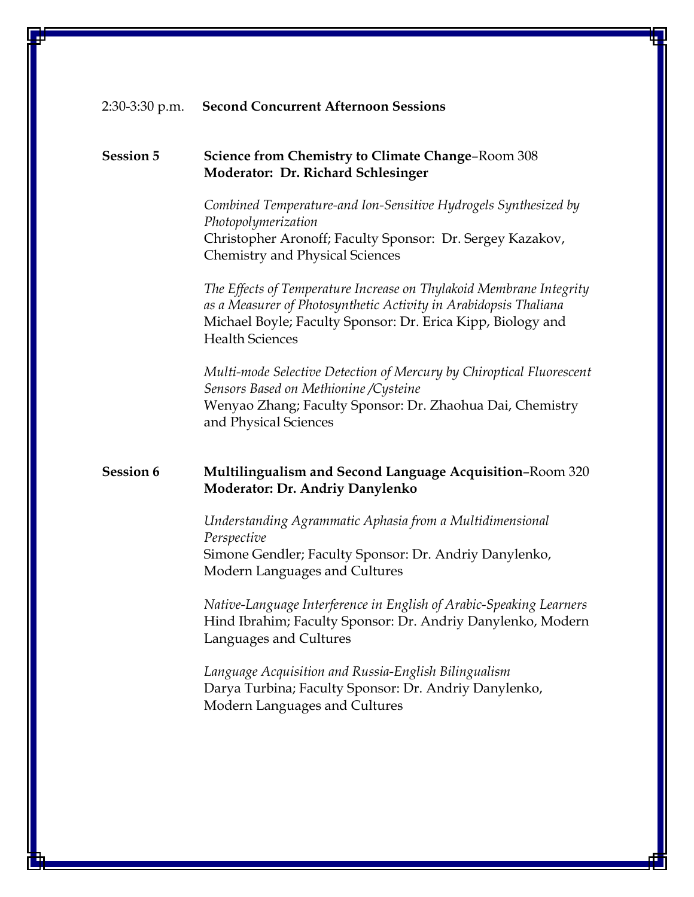#### 2:30-3:30 p.m. Second Concurrent Afternoon Sessions

### Session 5 Science from Chemistry to Climate Change–Room 308 Moderator: Dr. Richard Schlesinger

Combined Temperature-and Ion-Sensitive Hydrogels Synthesized by Photopolymerization Christopher Aronoff; Faculty Sponsor: Dr. Sergey Kazakov, Chemistry and Physical Sciences

The Effects of Temperature Increase on Thylakoid Membrane Integrity as a Measurer of Photosynthetic Activity in Arabidopsis Thaliana Michael Boyle; Faculty Sponsor: Dr. Erica Kipp, Biology and Health Sciences

Multi-mode Selective Detection of Mercury by Chiroptical Fluorescent Sensors Based on Methionine /Cysteine Wenyao Zhang; Faculty Sponsor: Dr. Zhaohua Dai, Chemistry and Physical Sciences

#### Session 6 Multilingualism and Second Language Acquisition-Room 320 Moderator: Dr. Andriy Danylenko

Understanding Agrammatic Aphasia from a Multidimensional Perspective Simone Gendler; Faculty Sponsor: Dr. Andriy Danylenko, Modern Languages and Cultures

Native-Language Interference in English of Arabic-Speaking Learners Hind Ibrahim; Faculty Sponsor: Dr. Andriy Danylenko, Modern Languages and Cultures

Language Acquisition and Russia-English Bilingualism Darya Turbina; Faculty Sponsor: Dr. Andriy Danylenko, Modern Languages and Cultures